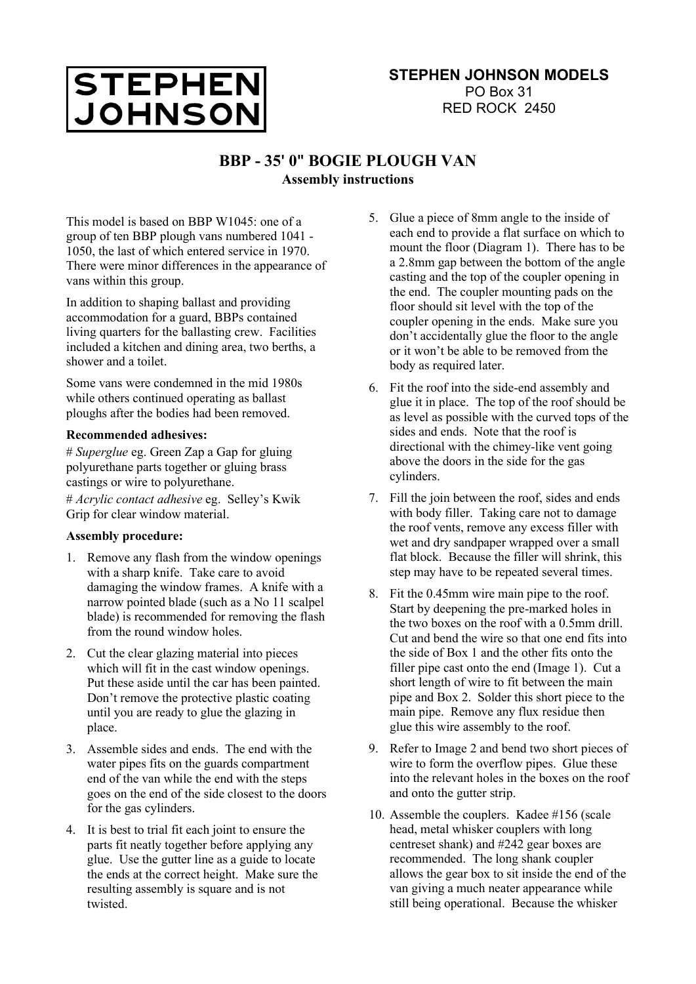

## **BBP - 35' 0" BOGIE PLOUGH VAN Assembly instructions**

This model is based on BBP W1045: one of a group of ten BBP plough vans numbered 1041 - 1050, the last of which entered service in 1970. There were minor differences in the appearance of vans within this group.

In addition to shaping ballast and providing accommodation for a guard, BBPs contained living quarters for the ballasting crew. Facilities included a kitchen and dining area, two berths, a shower and a toilet.

Some vans were condemned in the mid 1980s while others continued operating as ballast ploughs after the bodies had been removed.

## **Recommended adhesives:**

# *Superglue* eg. Green Zap a Gap for gluing polyurethane parts together or gluing brass castings or wire to polyurethane.

# *Acrylic contact adhesive* eg. Selley's Kwik Grip for clear window material.

## **Assembly procedure:**

- 1. Remove any flash from the window openings with a sharp knife. Take care to avoid damaging the window frames. A knife with a narrow pointed blade (such as a No 11 scalpel blade) is recommended for removing the flash from the round window holes.
- 2. Cut the clear glazing material into pieces which will fit in the cast window openings. Put these aside until the car has been painted. Don't remove the protective plastic coating until you are ready to glue the glazing in place.
- 3. Assemble sides and ends. The end with the water pipes fits on the guards compartment end of the van while the end with the steps goes on the end of the side closest to the doors for the gas cylinders.
- 4. It is best to trial fit each joint to ensure the parts fit neatly together before applying any glue. Use the gutter line as a guide to locate the ends at the correct height. Make sure the resulting assembly is square and is not twisted.
- 5. Glue a piece of 8mm angle to the inside of each end to provide a flat surface on which to mount the floor (Diagram 1). There has to be a 2.8mm gap between the bottom of the angle casting and the top of the coupler opening in the end. The coupler mounting pads on the floor should sit level with the top of the coupler opening in the ends. Make sure you don't accidentally glue the floor to the angle or it won't be able to be removed from the body as required later.
- 6. Fit the roof into the side-end assembly and glue it in place. The top of the roof should be as level as possible with the curved tops of the sides and ends. Note that the roof is directional with the chimey-like vent going above the doors in the side for the gas cylinders.
- 7. Fill the join between the roof, sides and ends with body filler. Taking care not to damage the roof vents, remove any excess filler with wet and dry sandpaper wrapped over a small flat block. Because the filler will shrink, this step may have to be repeated several times.
- 8. Fit the 0.45mm wire main pipe to the roof. Start by deepening the pre-marked holes in the two boxes on the roof with a 0.5mm drill. Cut and bend the wire so that one end fits into the side of Box 1 and the other fits onto the filler pipe cast onto the end (Image 1). Cut a short length of wire to fit between the main pipe and Box 2. Solder this short piece to the main pipe. Remove any flux residue then glue this wire assembly to the roof.
- 9. Refer to Image 2 and bend two short pieces of wire to form the overflow pipes. Glue these into the relevant holes in the boxes on the roof and onto the gutter strip.
- 10. Assemble the couplers. Kadee #156 (scale head, metal whisker couplers with long centreset shank) and #242 gear boxes are recommended. The long shank coupler allows the gear box to sit inside the end of the van giving a much neater appearance while still being operational. Because the whisker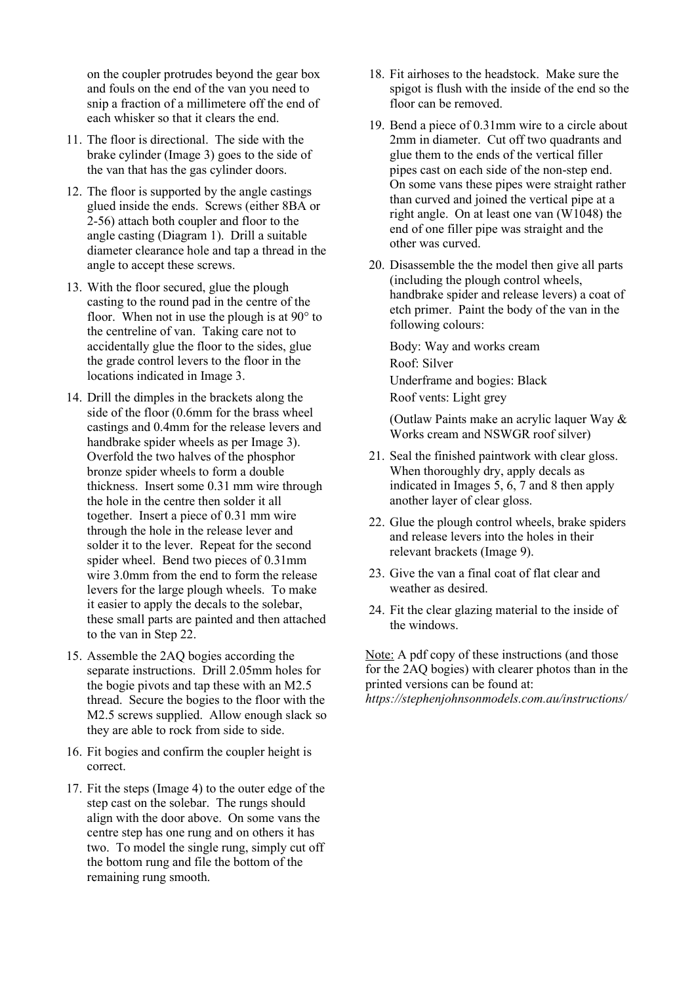on the coupler protrudes beyond the gear box and fouls on the end of the van you need to snip a fraction of a millimetere off the end of each whisker so that it clears the end.

- 11. The floor is directional. The side with the brake cylinder (Image 3) goes to the side of the van that has the gas cylinder doors.
- 12. The floor is supported by the angle castings glued inside the ends. Screws (either 8BA or 2-56) attach both coupler and floor to the angle casting (Diagram 1). Drill a suitable diameter clearance hole and tap a thread in the angle to accept these screws.
- 13. With the floor secured, glue the plough casting to the round pad in the centre of the floor. When not in use the plough is at  $90^\circ$  to the centreline of van. Taking care not to accidentally glue the floor to the sides, glue the grade control levers to the floor in the locations indicated in Image 3.
- 14. Drill the dimples in the brackets along the side of the floor (0.6mm for the brass wheel castings and 0.4mm for the release levers and handbrake spider wheels as per Image 3). Overfold the two halves of the phosphor bronze spider wheels to form a double thickness. Insert some 0.31 mm wire through the hole in the centre then solder it all together. Insert a piece of 0.31 mm wire through the hole in the release lever and solder it to the lever. Repeat for the second spider wheel. Bend two pieces of 0.31mm wire 3.0mm from the end to form the release levers for the large plough wheels. To make it easier to apply the decals to the solebar, these small parts are painted and then attached to the van in Step 22.
- 15. Assemble the 2AQ bogies according the separate instructions. Drill 2.05mm holes for the bogie pivots and tap these with an M2.5 thread. Secure the bogies to the floor with the M2.5 screws supplied. Allow enough slack so they are able to rock from side to side.
- 16. Fit bogies and confirm the coupler height is correct.
- 17. Fit the steps (Image 4) to the outer edge of the step cast on the solebar. The rungs should align with the door above. On some vans the centre step has one rung and on others it has two. To model the single rung, simply cut off the bottom rung and file the bottom of the remaining rung smooth.
- 18. Fit airhoses to the headstock. Make sure the spigot is flush with the inside of the end so the floor can be removed.
- 19. Bend a piece of 0.31mm wire to a circle about 2mm in diameter. Cut off two quadrants and glue them to the ends of the vertical filler pipes cast on each side of the non-step end. On some vans these pipes were straight rather than curved and joined the vertical pipe at a right angle. On at least one van (W1048) the end of one filler pipe was straight and the other was curved.
- 20. Disassemble the the model then give all parts (including the plough control wheels, handbrake spider and release levers) a coat of etch primer. Paint the body of the van in the following colours:

Body: Way and works cream Roof: Silver Underframe and bogies: Black Roof vents: Light grey

(Outlaw Paints make an acrylic laquer Way & Works cream and NSWGR roof silver)

- 21. Seal the finished paintwork with clear gloss. When thoroughly dry, apply decals as indicated in Images 5, 6, 7 and 8 then apply another layer of clear gloss.
- 22. Glue the plough control wheels, brake spiders and release levers into the holes in their relevant brackets (Image 9).
- 23. Give the van a final coat of flat clear and weather as desired.
- 24. Fit the clear glazing material to the inside of the windows.

Note: A pdf copy of these instructions (and those for the 2AQ bogies) with clearer photos than in the printed versions can be found at: *https://stephenjohnsonmodels.com.au/instructions/*